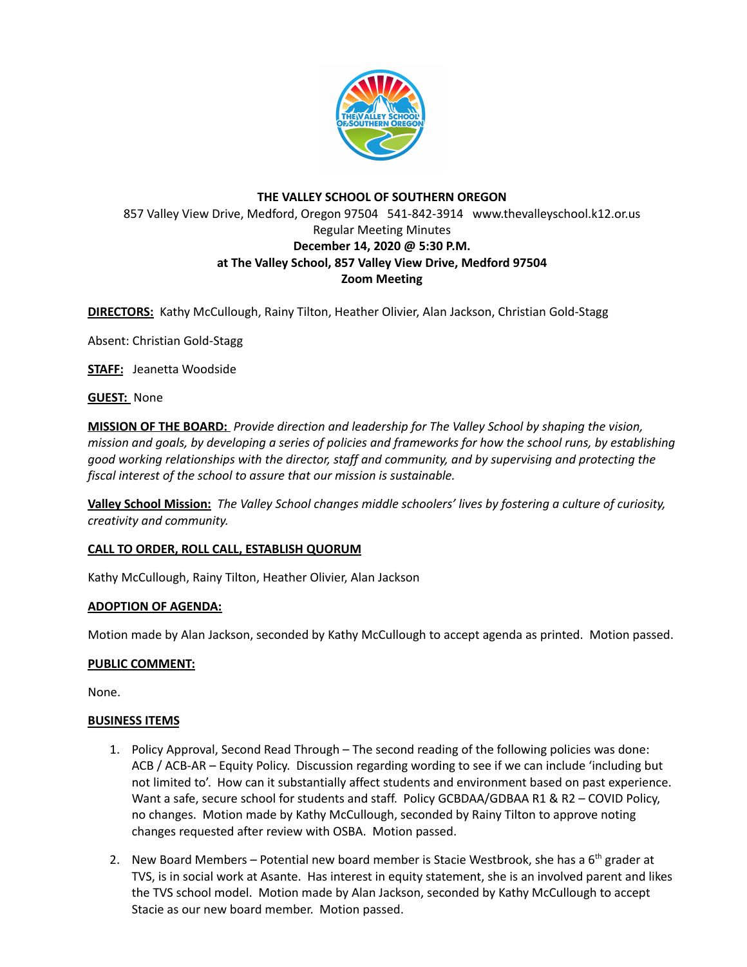

# **THE VALLEY SCHOOL OF SOUTHERN OREGON** 857 Valley View Drive, Medford, Oregon 97504 541-842-3914 www.thevalleyschool.k12.or.us Regular Meeting Minutes **December 14, 2020 @ 5:30 P.M. at The Valley School, 857 Valley View Drive, Medford 97504 Zoom Meeting**

**DIRECTORS:** Kathy McCullough, Rainy Tilton, Heather Olivier, Alan Jackson, Christian Gold-Stagg

Absent: Christian Gold-Stagg

**STAFF:** Jeanetta Woodside

**GUEST:** None

**MISSION OF THE BOARD:** *Provide direction and leadership for The Valley School by shaping the vision,* mission and goals, by developing a series of policies and frameworks for how the school runs, by establishing *good working relationships with the director, staff and community, and by supervising and protecting the fiscal interest of the school to assure that our mission is sustainable.*

**Valley School Mission:** *The Valley School changes middle schoolers' lives by fostering a culture of curiosity, creativity and community.*

## **CALL TO ORDER, ROLL CALL, ESTABLISH QUORUM**

Kathy McCullough, Rainy Tilton, Heather Olivier, Alan Jackson

## **ADOPTION OF AGENDA:**

Motion made by Alan Jackson, seconded by Kathy McCullough to accept agenda as printed. Motion passed.

## **PUBLIC COMMENT:**

None.

## **BUSINESS ITEMS**

- 1. Policy Approval, Second Read Through The second reading of the following policies was done: ACB / ACB-AR – Equity Policy. Discussion regarding wording to see if we can include 'including but not limited to'. How can it substantially affect students and environment based on past experience. Want a safe, secure school for students and staff. Policy GCBDAA/GDBAA R1 & R2 - COVID Policy, no changes. Motion made by Kathy McCullough, seconded by Rainy Tilton to approve noting changes requested after review with OSBA. Motion passed.
- 2. New Board Members Potential new board member is Stacie Westbrook, she has a 6<sup>th</sup> grader at TVS, is in social work at Asante. Has interest in equity statement, she is an involved parent and likes the TVS school model. Motion made by Alan Jackson, seconded by Kathy McCullough to accept Stacie as our new board member. Motion passed.